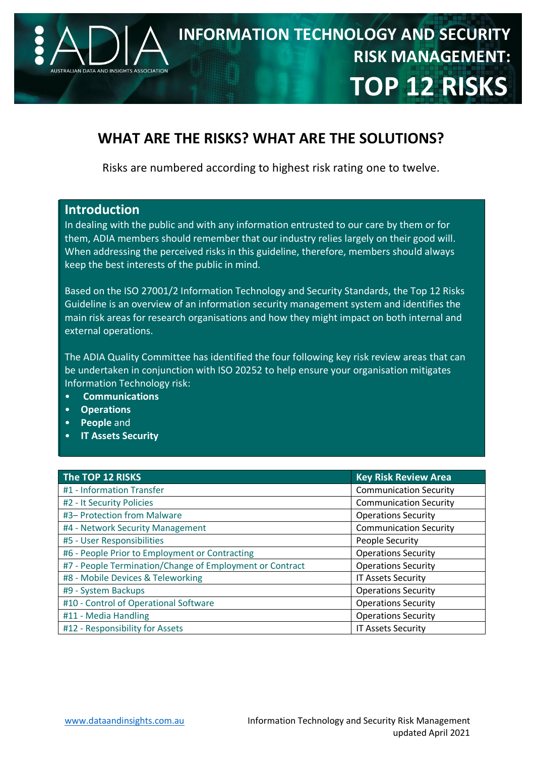

# **WHAT ARE THE RISKS? WHAT ARE THE SOLUTIONS?**

Risks are numbered according to highest risk rating one to twelve.

#### **Introduction**

In dealing with the public and with any information entrusted to our care by them or for them, ADIA members should remember that our industry relies largely on their good will. When addressing the perceived risks in this guideline, therefore, members should always keep the best interests of the public in mind.

Based on the ISO 27001/2 Information Technology and Security Standards, the Top 12 Risks Guideline is an overview of an information security management system and identifies the main risk areas for research organisations and how they might impact on both internal and external operations.

The ADIA Quality Committee has identified the four following key risk review areas that can be undertaken in conjunction with ISO 20252 to help ensure your organisation mitigates Information Technology risk:

- **Communications**
- **Operations**
- **People** and
- **IT Assets Security**

| The TOP 12 RISKS                                         | <b>Key Risk Review Area</b>   |
|----------------------------------------------------------|-------------------------------|
| #1 - Information Transfer                                | <b>Communication Security</b> |
| #2 - It Security Policies                                | <b>Communication Security</b> |
| #3- Protection from Malware                              | <b>Operations Security</b>    |
| #4 - Network Security Management                         | <b>Communication Security</b> |
| #5 - User Responsibilities                               | People Security               |
| #6 - People Prior to Employment or Contracting           | <b>Operations Security</b>    |
| #7 - People Termination/Change of Employment or Contract | <b>Operations Security</b>    |
| #8 - Mobile Devices & Teleworking                        | <b>IT Assets Security</b>     |
| #9 - System Backups                                      | <b>Operations Security</b>    |
| #10 - Control of Operational Software                    | <b>Operations Security</b>    |
| #11 - Media Handling                                     | <b>Operations Security</b>    |
| #12 - Responsibility for Assets                          | <b>IT Assets Security</b>     |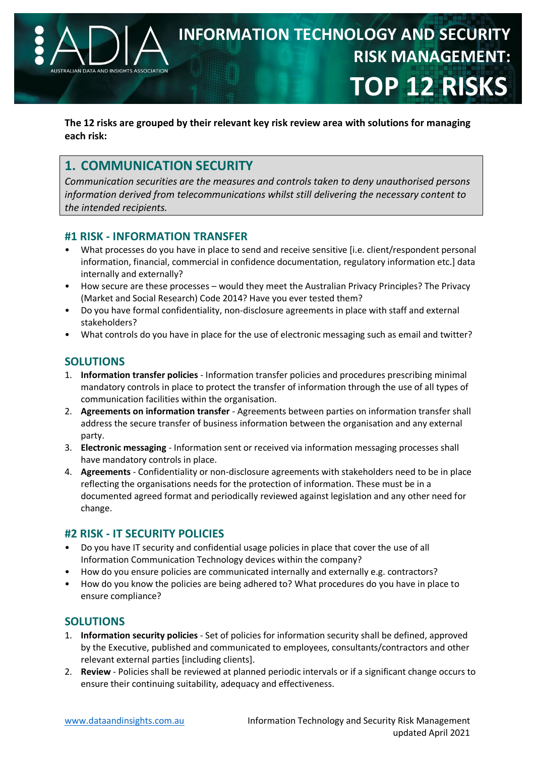

**The 12 risks are grouped by their relevant key risk review area with solutions for managing each risk:** 

# **1. COMMUNICATION SECURITY**

*Communication securities are the measures and controls taken to deny unauthorised persons information derived from telecommunications whilst still delivering the necessary content to the intended recipients.* 

#### **#1 RISK - INFORMATION TRANSFER**

- What processes do you have in place to send and receive sensitive [i.e. client/respondent personal information, financial, commercial in confidence documentation, regulatory information etc.] data internally and externally?
- How secure are these processes would they meet the Australian Privacy Principles? The Privacy (Market and Social Research) Code 2014? Have you ever tested them?
- Do you have formal confidentiality, non-disclosure agreements in place with staff and external stakeholders?
- What controls do you have in place for the use of electronic messaging such as email and twitter?

## **SOLUTIONS**

- 1. **Information transfer policies** Information transfer policies and procedures prescribing minimal mandatory controls in place to protect the transfer of information through the use of all types of communication facilities within the organisation.
- 2. **Agreements on information transfer** Agreements between parties on information transfer shall address the secure transfer of business information between the organisation and any external party.
- 3. **Electronic messaging** Information sent or received via information messaging processes shall have mandatory controls in place.
- 4. **Agreements** Confidentiality or non-disclosure agreements with stakeholders need to be in place reflecting the organisations needs for the protection of information. These must be in a documented agreed format and periodically reviewed against legislation and any other need for change.

#### **#2 RISK - IT SECURITY POLICIES**

- Do you have IT security and confidential usage policies in place that cover the use of all Information Communication Technology devices within the company?
- How do you ensure policies are communicated internally and externally e.g. contractors?
- How do you know the policies are being adhered to? What procedures do you have in place to ensure compliance?

## **SOLUTIONS**

- 1. **Information security policies** Set of policies for information security shall be defined, approved by the Executive, published and communicated to employees, consultants/contractors and other relevant external parties [including clients].
- 2. **Review** Policies shall be reviewed at planned periodic intervals or if a significant change occurs to ensure their continuing suitability, adequacy and effectiveness.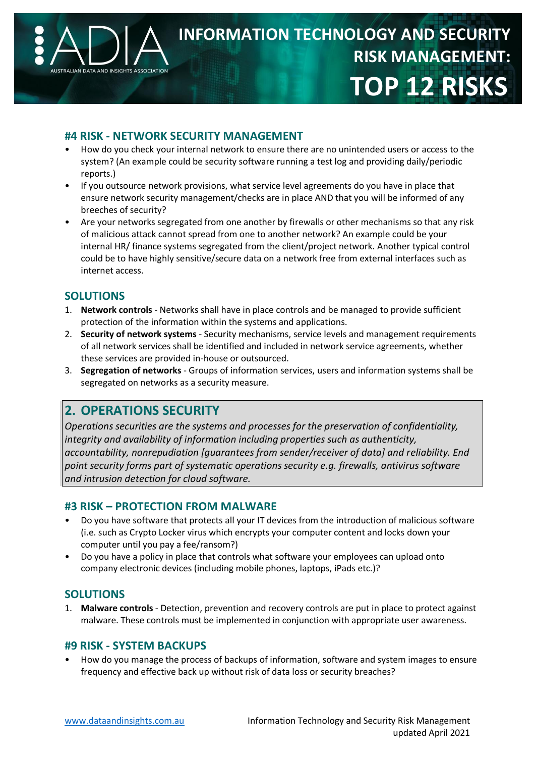

#### **#4 RISK - NETWORK SECURITY MANAGEMENT**

- How do you check your internal network to ensure there are no unintended users or access to the system? (An example could be security software running a test log and providing daily/periodic reports.)
- If you outsource network provisions, what service level agreements do you have in place that ensure network security management/checks are in place AND that you will be informed of any breeches of security?
- Are your networks segregated from one another by firewalls or other mechanisms so that any risk of malicious attack cannot spread from one to another network? An example could be your internal HR/ finance systems segregated from the client/project network. Another typical control could be to have highly sensitive/secure data on a network free from external interfaces such as internet access.

#### **SOLUTIONS**

- 1. **Network controls** Networks shall have in place controls and be managed to provide sufficient protection of the information within the systems and applications.
- 2. **Security of network systems** Security mechanisms, service levels and management requirements of all network services shall be identified and included in network service agreements, whether these services are provided in-house or outsourced.
- 3. **Segregation of networks** Groups of information services, users and information systems shall be segregated on networks as a security measure.

## **2. OPERATIONS SECURITY**

*Operations securities are the systems and processes for the preservation of confidentiality, integrity and availability of information including properties such as authenticity, accountability, nonrepudiation [guarantees from sender/receiver of data] and reliability. End point security forms part of systematic operations security e.g. firewalls, antivirus software and intrusion detection for cloud software.* 

#### **#3 RISK – PROTECTION FROM MALWARE**

- Do you have software that protects all your IT devices from the introduction of malicious software (i.e. such as Crypto Locker virus which encrypts your computer content and locks down your computer until you pay a fee/ransom?)
- Do you have a policy in place that controls what software your employees can upload onto company electronic devices (including mobile phones, laptops, iPads etc.)?

#### **SOLUTIONS**

1. **Malware controls** - Detection, prevention and recovery controls are put in place to protect against malware. These controls must be implemented in conjunction with appropriate user awareness.

#### **#9 RISK - SYSTEM BACKUPS**

• How do you manage the process of backups of information, software and system images to ensure frequency and effective back up without risk of data loss or security breaches?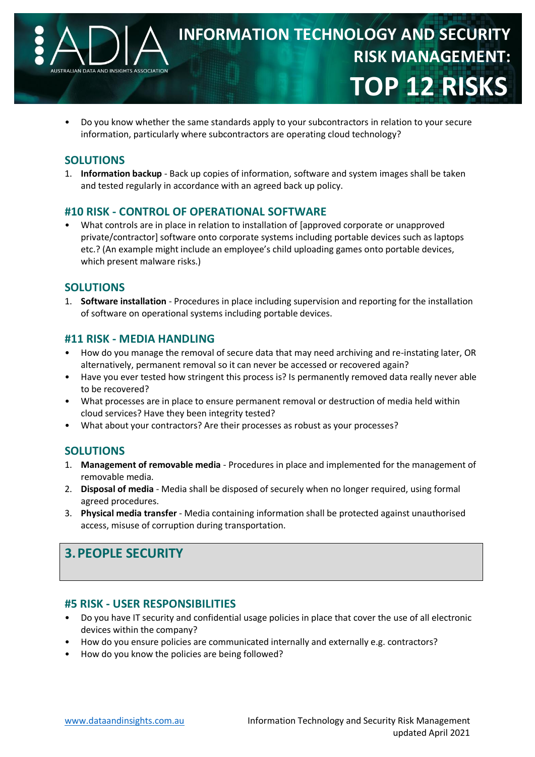

• Do you know whether the same standards apply to your subcontractors in relation to your secure information, particularly where subcontractors are operating cloud technology?

#### **SOLUTIONS**

1. **Information backup** - Back up copies of information, software and system images shall be taken and tested regularly in accordance with an agreed back up policy.

#### **#10 RISK - CONTROL OF OPERATIONAL SOFTWARE**

• What controls are in place in relation to installation of [approved corporate or unapproved private/contractor] software onto corporate systems including portable devices such as laptops etc.? (An example might include an employee's child uploading games onto portable devices, which present malware risks.)

#### **SOLUTIONS**

1. **Software installation** - Procedures in place including supervision and reporting for the installation of software on operational systems including portable devices.

#### **#11 RISK - MEDIA HANDLING**

- How do you manage the removal of secure data that may need archiving and re-instating later, OR alternatively, permanent removal so it can never be accessed or recovered again?
- Have you ever tested how stringent this process is? Is permanently removed data really never able to be recovered?
- What processes are in place to ensure permanent removal or destruction of media held within cloud services? Have they been integrity tested?
- What about your contractors? Are their processes as robust as your processes?

#### **SOLUTIONS**

- 1. **Management of removable media** Procedures in place and implemented for the management of removable media.
- 2. **Disposal of media** Media shall be disposed of securely when no longer required, using formal agreed procedures.
- 3. **Physical media transfer** Media containing information shall be protected against unauthorised access, misuse of corruption during transportation.

# **3.PEOPLE SECURITY**

#### **#5 RISK - USER RESPONSIBILITIES**

- Do you have IT security and confidential usage policies in place that cover the use of all electronic devices within the company?
- How do you ensure policies are communicated internally and externally e.g. contractors?
- How do you know the policies are being followed?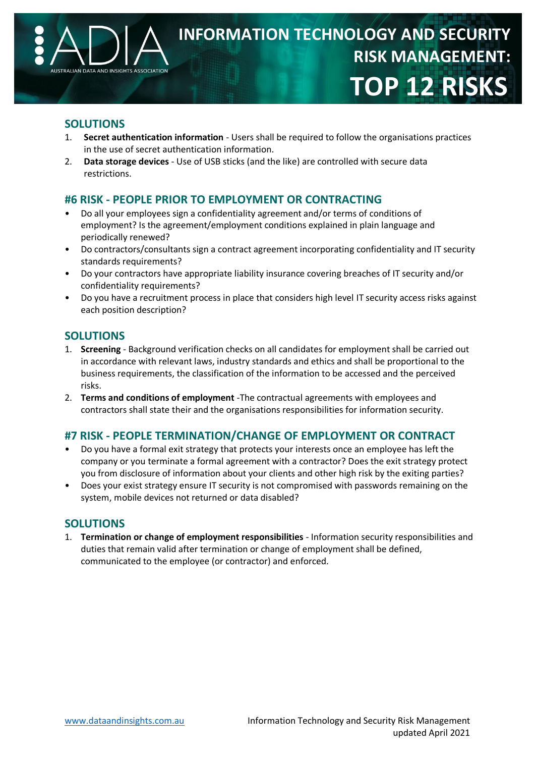

#### **SOLUTIONS**

- 1. **Secret authentication information** Users shall be required to follow the organisations practices in the use of secret authentication information.
- 2. **Data storage devices** Use of USB sticks (and the like) are controlled with secure data restrictions.

### **#6 RISK - PEOPLE PRIOR TO EMPLOYMENT OR CONTRACTING**

- Do all your employees sign a confidentiality agreement and/or terms of conditions of employment? Is the agreement/employment conditions explained in plain language and periodically renewed?
- Do contractors/consultants sign a contract agreement incorporating confidentiality and IT security standards requirements?
- Do your contractors have appropriate liability insurance covering breaches of IT security and/or confidentiality requirements?
- Do you have a recruitment process in place that considers high level IT security access risks against each position description?

#### **SOLUTIONS**

- 1. **Screening** Background verification checks on all candidates for employment shall be carried out in accordance with relevant laws, industry standards and ethics and shall be proportional to the business requirements, the classification of the information to be accessed and the perceived risks.
- 2. **Terms and conditions of employment** -The contractual agreements with employees and contractors shall state their and the organisations responsibilities for information security.

#### **#7 RISK - PEOPLE TERMINATION/CHANGE OF EMPLOYMENT OR CONTRACT**

- Do you have a formal exit strategy that protects your interests once an employee has left the company or you terminate a formal agreement with a contractor? Does the exit strategy protect you from disclosure of information about your clients and other high risk by the exiting parties?
- Does your exist strategy ensure IT security is not compromised with passwords remaining on the system, mobile devices not returned or data disabled?

#### **SOLUTIONS**

1. **Termination or change of employment responsibilities** - Information security responsibilities and duties that remain valid after termination or change of employment shall be defined, communicated to the employee (or contractor) and enforced.